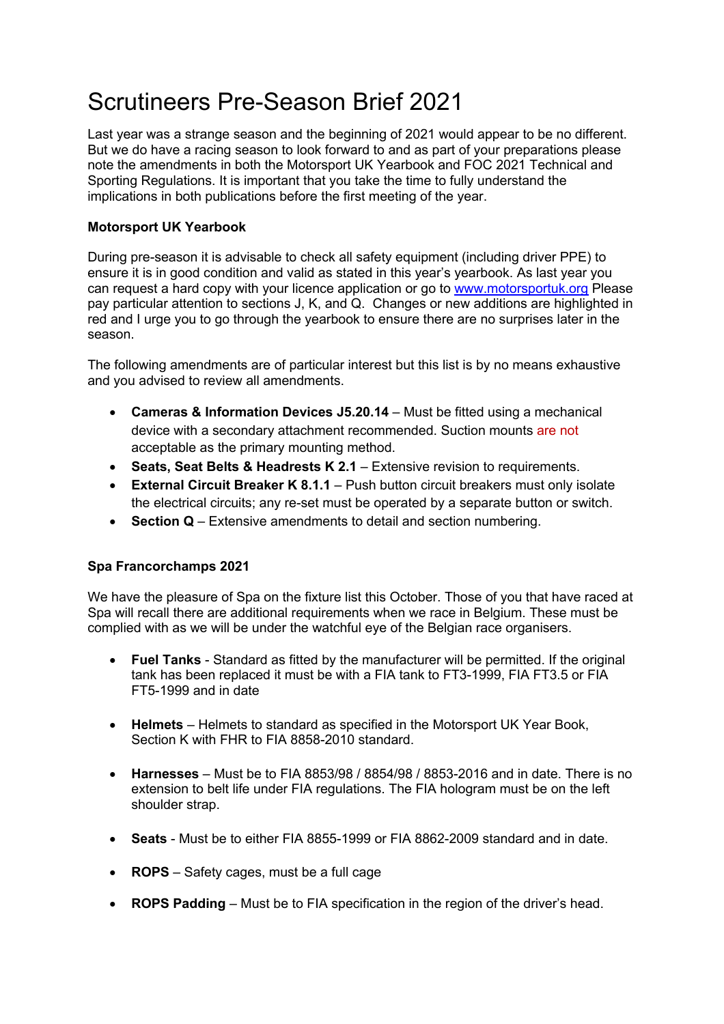# Scrutineers Pre-Season Brief 2021

Last year was a strange season and the beginning of 2021 would appear to be no different. But we do have a racing season to look forward to and as part of your preparations please note the amendments in both the Motorsport UK Yearbook and FOC 2021 Technical and Sporting Regulations. It is important that you take the time to fully understand the implications in both publications before the first meeting of the year.

## **Motorsport UK Yearbook**

During pre-season it is advisable to check all safety equipment (including driver PPE) to ensure it is in good condition and valid as stated in this year's yearbook. As last year you can request a hard copy with your licence application or go to www.motorsportuk.org Please pay particular attention to sections J, K, and Q. Changes or new additions are highlighted in red and I urge you to go through the yearbook to ensure there are no surprises later in the season.

The following amendments are of particular interest but this list is by no means exhaustive and you advised to review all amendments.

- **Cameras & Information Devices J5.20.14** Must be fitted using a mechanical device with a secondary attachment recommended. Suction mounts are not acceptable as the primary mounting method.
- **Seats, Seat Belts & Headrests K 2.1** Extensive revision to requirements.
- **External Circuit Breaker K 8.1.1** Push button circuit breakers must only isolate the electrical circuits; any re-set must be operated by a separate button or switch.
- **Section Q** Extensive amendments to detail and section numbering.

### **Spa Francorchamps 2021**

We have the pleasure of Spa on the fixture list this October. Those of you that have raced at Spa will recall there are additional requirements when we race in Belgium. These must be complied with as we will be under the watchful eye of the Belgian race organisers.

- **Fuel Tanks** Standard as fitted by the manufacturer will be permitted. If the original tank has been replaced it must be with a FIA tank to FT3-1999, FIA FT3.5 or FIA FT5-1999 and in date
- **Helmets** Helmets to standard as specified in the Motorsport UK Year Book, Section K with FHR to FIA 8858-2010 standard.
- **Harnesses** Must be to FIA 8853/98 / 8854/98 / 8853-2016 and in date. There is no extension to belt life under FIA regulations. The FIA hologram must be on the left shoulder strap.
- **Seats** Must be to either FIA 8855-1999 or FIA 8862-2009 standard and in date.
- **ROPS** Safety cages, must be a full cage
- **ROPS Padding** Must be to FIA specification in the region of the driver's head.